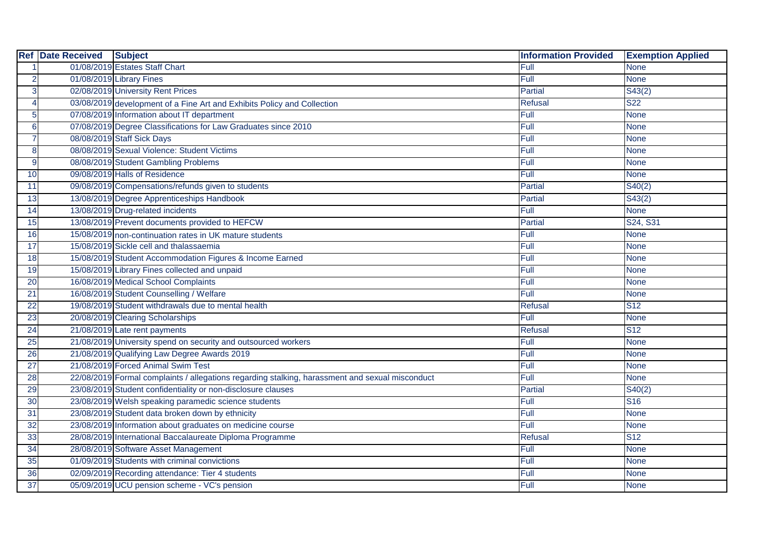| <b>Ref</b>     | <b>Date Received</b> | <b>Subject</b>                                                                                  | <b>Information Provided</b> | <b>Exemption Applied</b> |
|----------------|----------------------|-------------------------------------------------------------------------------------------------|-----------------------------|--------------------------|
|                |                      | 01/08/2019 Estates Staff Chart                                                                  | Full                        | <b>None</b>              |
| 2              |                      | 01/08/2019 Library Fines                                                                        | Full                        | <b>None</b>              |
| 3              |                      | 02/08/2019 University Rent Prices                                                               | Partial                     | S43(2)                   |
| 4              |                      | 03/08/2019 development of a Fine Art and Exhibits Policy and Collection                         | Refusal                     | S <sub>22</sub>          |
| 5 <sup>1</sup> |                      | 07/08/2019 Information about IT department                                                      | Full                        | <b>None</b>              |
| 6              |                      | 07/08/2019 Degree Classifications for Law Graduates since 2010                                  | Full                        | <b>None</b>              |
|                |                      | 08/08/2019 Staff Sick Days                                                                      | Full                        | <b>None</b>              |
| 8              |                      | 08/08/2019 Sexual Violence: Student Victims                                                     | Full                        | <b>None</b>              |
| 9              |                      | 08/08/2019 Student Gambling Problems                                                            | Full                        | <b>None</b>              |
| 10             |                      | 09/08/2019 Halls of Residence                                                                   | Full                        | <b>None</b>              |
| 11             |                      | 09/08/2019 Compensations/refunds given to students                                              | Partial                     | S40(2)                   |
| 13             |                      | 13/08/2019 Degree Apprenticeships Handbook                                                      | Partial                     | S43(2)                   |
| 14             |                      | 13/08/2019 Drug-related incidents                                                               | Full                        | <b>None</b>              |
| 15             |                      | 13/08/2019 Prevent documents provided to HEFCW                                                  | <b>Partial</b>              | S24, S31                 |
| 16             |                      | 15/08/2019 non-continuation rates in UK mature students                                         | Full                        | <b>None</b>              |
| 17             |                      | 15/08/2019 Sickle cell and thalassaemia                                                         | Full                        | <b>None</b>              |
| 18             |                      | 15/08/2019 Student Accommodation Figures & Income Earned                                        | Full                        | <b>None</b>              |
| 19             |                      | 15/08/2019 Library Fines collected and unpaid                                                   | Full                        | <b>None</b>              |
| 20             |                      | 16/08/2019 Medical School Complaints                                                            | Full                        | <b>None</b>              |
| 21             |                      | 16/08/2019 Student Counselling / Welfare                                                        | Full                        | <b>None</b>              |
| 22             |                      | 19/08/2019 Student withdrawals due to mental health                                             | Refusal                     | <b>S12</b>               |
| 23             |                      | 20/08/2019 Clearing Scholarships                                                                | Full                        | <b>None</b>              |
| 24             |                      | 21/08/2019 Late rent payments                                                                   | <b>Refusal</b>              | <b>S12</b>               |
| 25             |                      | 21/08/2019 University spend on security and outsourced workers                                  | Full                        | <b>None</b>              |
| 26             |                      | 21/08/2019 Qualifying Law Degree Awards 2019                                                    | Full                        | <b>None</b>              |
| 27             |                      | 21/08/2019 Forced Animal Swim Test                                                              | Full                        | <b>None</b>              |
| 28             |                      | 22/08/2019 Formal complaints / allegations regarding stalking, harassment and sexual misconduct | Full                        | <b>None</b>              |
| 29             |                      | 23/08/2019 Student confidentiality or non-disclosure clauses                                    | Partial                     | S40(2)                   |
| 30             |                      | 23/08/2019 Welsh speaking paramedic science students                                            | Full                        | <b>S16</b>               |
| 31             |                      | 23/08/2019 Student data broken down by ethnicity                                                | Full                        | <b>None</b>              |
| 32             |                      | 23/08/2019 Information about graduates on medicine course                                       | Full                        | <b>None</b>              |
| 33             |                      | 28/08/2019 International Baccalaureate Diploma Programme                                        | <b>Refusal</b>              | <b>S12</b>               |
| 34             |                      | 28/08/2019 Software Asset Management                                                            | Full                        | <b>None</b>              |
| 35             |                      | 01/09/2019 Students with criminal convictions                                                   | Full                        | <b>None</b>              |
| 36             |                      | 02/09/2019 Recording attendance: Tier 4 students                                                | Full                        | <b>None</b>              |
| 37             |                      | 05/09/2019 UCU pension scheme - VC's pension                                                    | Full                        | <b>None</b>              |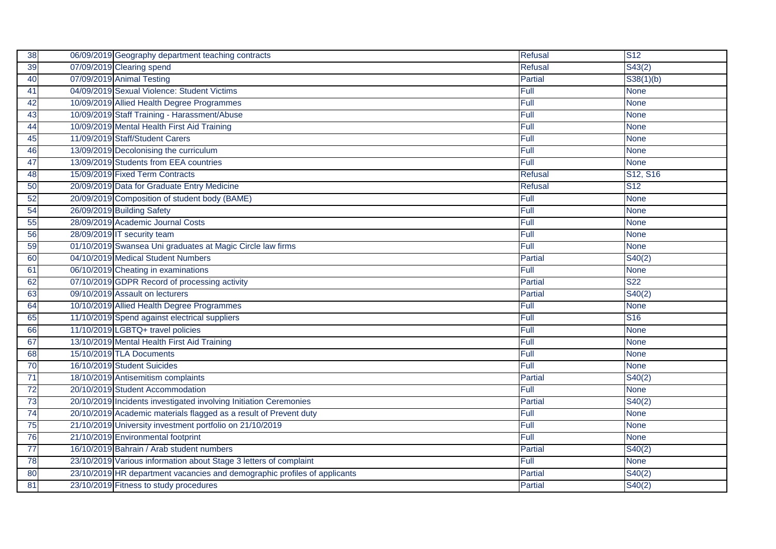| 38 | 06/09/2019 Geography department teaching contracts                        | <b>Refusal</b> | $\overline{\text{S}12}$           |
|----|---------------------------------------------------------------------------|----------------|-----------------------------------|
| 39 | 07/09/2019 Clearing spend                                                 | Refusal        | S43(2)                            |
| 40 | 07/09/2019 Animal Testing                                                 | Partial        | S38(1)(b)                         |
| 41 | 04/09/2019 Sexual Violence: Student Victims                               | Full           | <b>None</b>                       |
| 42 | 10/09/2019 Allied Health Degree Programmes                                | Full           | <b>None</b>                       |
| 43 | 10/09/2019 Staff Training - Harassment/Abuse                              | Full           | <b>None</b>                       |
| 44 | 10/09/2019 Mental Health First Aid Training                               | Full           | <b>None</b>                       |
| 45 | 11/09/2019 Staff/Student Carers                                           | Full           | <b>None</b>                       |
| 46 | 13/09/2019 Decolonising the curriculum                                    | Full           | <b>None</b>                       |
| 47 | 13/09/2019 Students from EEA countries                                    | Full           | <b>None</b>                       |
| 48 | 15/09/2019 Fixed Term Contracts                                           | <b>Refusal</b> | S <sub>12</sub> , S <sub>16</sub> |
| 50 | 20/09/2019 Data for Graduate Entry Medicine                               | <b>Refusal</b> | $\overline{\text{S}12}$           |
| 52 | 20/09/2019 Composition of student body (BAME)                             | Full           | <b>None</b>                       |
| 54 | 26/09/2019 Building Safety                                                | Full           | <b>None</b>                       |
| 55 | 28/09/2019 Academic Journal Costs                                         | Full           | <b>None</b>                       |
| 56 | 28/09/2019 IT security team                                               | Full           | <b>None</b>                       |
| 59 | 01/10/2019 Swansea Uni graduates at Magic Circle law firms                | Full           | <b>None</b>                       |
| 60 | 04/10/2019 Medical Student Numbers                                        | <b>Partial</b> | S40(2)                            |
| 61 | 06/10/2019 Cheating in examinations                                       | Full           | <b>None</b>                       |
| 62 | 07/10/2019 GDPR Record of processing activity                             | Partial        | S <sub>22</sub>                   |
| 63 | 09/10/2019 Assault on lecturers                                           | Partial        | S40(2)                            |
| 64 | 10/10/2019 Allied Health Degree Programmes                                | Full           | <b>None</b>                       |
| 65 | 11/10/2019 Spend against electrical suppliers                             | Full           | S <sub>16</sub>                   |
| 66 | 11/10/2019 LGBTQ+ travel policies                                         | Full           | <b>None</b>                       |
| 67 | 13/10/2019 Mental Health First Aid Training                               | Full           | <b>None</b>                       |
| 68 | 15/10/2019 TLA Documents                                                  | Full           | <b>None</b>                       |
| 70 | 16/10/2019 Student Suicides                                               | Full           | <b>None</b>                       |
| 71 | 18/10/2019 Antisemitism complaints                                        | Partial        | S40(2)                            |
| 72 | 20/10/2019 Student Accommodation                                          | Full           | <b>None</b>                       |
| 73 | 20/10/2019 Incidents investigated involving Initiation Ceremonies         | Partial        | S40(2)                            |
| 74 | 20/10/2019 Academic materials flagged as a result of Prevent duty         | Full           | <b>None</b>                       |
| 75 | 21/10/2019 University investment portfolio on 21/10/2019                  | Full           | <b>None</b>                       |
| 76 | 21/10/2019 Environmental footprint                                        | Full           | <b>None</b>                       |
| 77 | 16/10/2019 Bahrain / Arab student numbers                                 | <b>Partial</b> | S40(2)                            |
| 78 | 23/10/2019 Various information about Stage 3 letters of complaint         | <b>Full</b>    | <b>None</b>                       |
| 80 | 23/10/2019 HR department vacancies and demographic profiles of applicants | Partial        | S40(2)                            |
| 81 | 23/10/2019 Fitness to study procedures                                    | Partial        | S40(2)                            |
|    |                                                                           |                |                                   |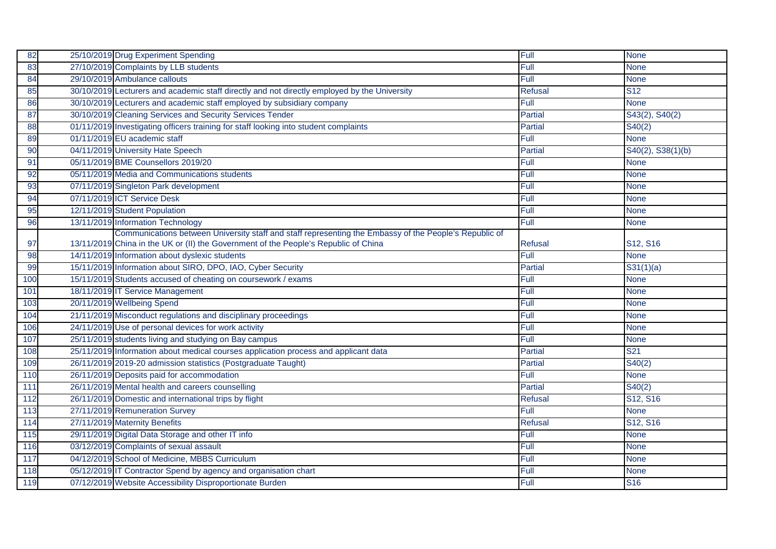| 82  | 25/10/2019 Drug Experiment Spending                                                                    | Full           | <b>None</b>       |
|-----|--------------------------------------------------------------------------------------------------------|----------------|-------------------|
| 83  | 27/10/2019 Complaints by LLB students                                                                  | Full           | <b>None</b>       |
| 84  | 29/10/2019 Ambulance callouts                                                                          | Full           | <b>None</b>       |
| 85  | 30/10/2019 Lecturers and academic staff directly and not directly employed by the University           | <b>Refusal</b> | <b>S12</b>        |
| 86  | 30/10/2019 Lecturers and academic staff employed by subsidiary company                                 | Full           | <b>None</b>       |
| 87  | 30/10/2019 Cleaning Services and Security Services Tender                                              | Partial        | S43(2), S40(2)    |
| 88  | 01/11/2019 Investigating officers training for staff looking into student complaints                   | Partial        | S40(2)            |
| 89  | 01/11/2019 EU academic staff                                                                           | Full           | <b>None</b>       |
| 90  | 04/11/2019 University Hate Speech                                                                      | Partial        | S40(2), S38(1)(b) |
| 91  | 05/11/2019 BME Counsellors 2019/20                                                                     | Full           | <b>None</b>       |
| 92  | 05/11/2019 Media and Communications students                                                           | Full           | <b>None</b>       |
| 93  | 07/11/2019 Singleton Park development                                                                  | Full           | <b>None</b>       |
| 94  | 07/11/2019 ICT Service Desk                                                                            | Full           | <b>None</b>       |
| 95  | 12/11/2019 Student Population                                                                          | Full           | <b>None</b>       |
| 96  | 13/11/2019 Information Technology                                                                      | Full           | <b>None</b>       |
|     | Communications between University staff and staff representing the Embassy of the People's Republic of |                |                   |
| 97  | 13/11/2019 China in the UK or (II) the Government of the People's Republic of China                    | Refusal        | S12, S16          |
| 98  | 14/11/2019 Information about dyslexic students                                                         | Full           | <b>None</b>       |
| 99  | 15/11/2019 Information about SIRO, DPO, IAO, Cyber Security                                            | Partial        | S31(1)(a)         |
| 100 | 15/11/2019 Students accused of cheating on coursework / exams                                          | Full           | <b>None</b>       |
| 101 | 18/11/2019 IT Service Management                                                                       | Full           | <b>None</b>       |
| 103 | 20/11/2019 Wellbeing Spend                                                                             | Full           | <b>None</b>       |
| 104 | 21/11/2019 Misconduct regulations and disciplinary proceedings                                         | Full           | <b>None</b>       |
| 106 | 24/11/2019 Use of personal devices for work activity                                                   | Full           | <b>None</b>       |
| 107 | 25/11/2019 students living and studying on Bay campus                                                  | Full           | <b>None</b>       |
| 108 | 25/11/2019 Information about medical courses application process and applicant data                    | Partial        | S <sub>21</sub>   |
| 109 | 26/11/2019 2019-20 admission statistics (Postgraduate Taught)                                          | Partial        | S40(2)            |
| 110 | 26/11/2019 Deposits paid for accommodation                                                             | Full           | <b>None</b>       |
| 111 | 26/11/2019 Mental health and careers counselling                                                       | <b>Partial</b> | S40(2)            |
| 112 | 26/11/2019 Domestic and international trips by flight                                                  | Refusal        | S12, S16          |
| 113 | 27/11/2019 Remuneration Survey                                                                         | Full           | <b>None</b>       |
| 114 | 27/11/2019 Maternity Benefits                                                                          | Refusal        | S12, S16          |
| 115 | 29/11/2019 Digital Data Storage and other IT info                                                      | Full           | <b>None</b>       |
| 116 | 03/12/2019 Complaints of sexual assault                                                                | Full           | <b>None</b>       |
| 117 | 04/12/2019 School of Medicine, MBBS Curriculum                                                         | Full           | <b>None</b>       |
| 118 | 05/12/2019 IT Contractor Spend by agency and organisation chart                                        | Full           | <b>None</b>       |
| 119 | 07/12/2019 Website Accessibility Disproportionate Burden                                               | <b>Full</b>    | <b>S16</b>        |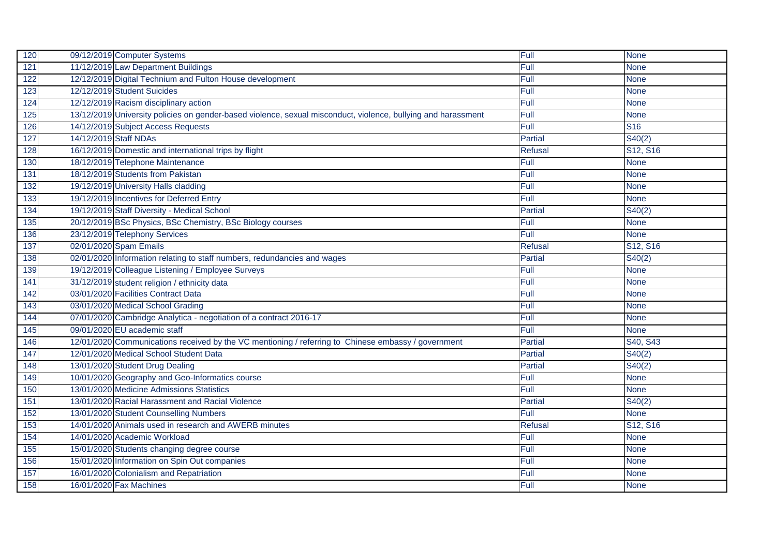| 120 | 09/12/2019 Computer Systems                                                                                   | Full           | <b>None</b>                       |
|-----|---------------------------------------------------------------------------------------------------------------|----------------|-----------------------------------|
| 121 | 11/12/2019 Law Department Buildings                                                                           | Full           | <b>None</b>                       |
| 122 | 12/12/2019 Digital Technium and Fulton House development                                                      | Full           | <b>None</b>                       |
| 123 | 12/12/2019 Student Suicides                                                                                   | Full           | <b>None</b>                       |
| 124 | 12/12/2019 Racism disciplinary action                                                                         | Full           | <b>None</b>                       |
| 125 | 13/12/2019 University policies on gender-based violence, sexual misconduct, violence, bullying and harassment | Full           | <b>None</b>                       |
| 126 | 14/12/2019 Subject Access Requests                                                                            | Full           | $\overline{\text{S}16}$           |
| 127 | 14/12/2019 Staff NDAs                                                                                         | Partial        | S40(2)                            |
| 128 | 16/12/2019 Domestic and international trips by flight                                                         | <b>Refusal</b> | S12, S16                          |
| 130 | 18/12/2019 Telephone Maintenance                                                                              | Full           | <b>None</b>                       |
| 131 | 18/12/2019 Students from Pakistan                                                                             | Full           | <b>None</b>                       |
| 132 | 19/12/2019 University Halls cladding                                                                          | Full           | <b>None</b>                       |
| 133 | 19/12/2019 Incentives for Deferred Entry                                                                      | Full           | <b>None</b>                       |
| 134 | 19/12/2019 Staff Diversity - Medical School                                                                   | Partial        | S40(2)                            |
| 135 | 20/12/2019 BSc Physics, BSc Chemistry, BSc Biology courses                                                    | Full           | <b>None</b>                       |
| 136 | 23/12/2019 Telephony Services                                                                                 | Full           | <b>None</b>                       |
| 137 | 02/01/2020 Spam Emails                                                                                        | <b>Refusal</b> | S <sub>12</sub> , S <sub>16</sub> |
| 138 | 02/01/2020 Information relating to staff numbers, redundancies and wages                                      | Partial        | S40(2)                            |
| 139 | 19/12/2019 Colleague Listening / Employee Surveys                                                             | Full           | <b>None</b>                       |
| 141 | 31/12/2019 student religion / ethnicity data                                                                  | Full           | <b>None</b>                       |
| 142 | 03/01/2020 Facilities Contract Data                                                                           | Full           | <b>None</b>                       |
| 143 | 03/01/2020 Medical School Grading                                                                             | Full           | <b>None</b>                       |
| 144 | 07/01/2020 Cambridge Analytica - negotiation of a contract 2016-17                                            | Full           | <b>None</b>                       |
| 145 | 09/01/2020 EU academic staff                                                                                  | Full           | <b>None</b>                       |
| 146 | 12/01/2020 Communications received by the VC mentioning / referring to Chinese embassy / government           | Partial        | S40, S43                          |
| 147 | 12/01/2020 Medical School Student Data                                                                        | Partial        | S40(2)                            |
| 148 | 13/01/2020 Student Drug Dealing                                                                               | Partial        | S40(2)                            |
| 149 | 10/01/2020 Geography and Geo-Informatics course                                                               | Full           | <b>None</b>                       |
| 150 | 13/01/2020 Medicine Admissions Statistics                                                                     | Full           | <b>None</b>                       |
| 151 | 13/01/2020 Racial Harassment and Racial Violence                                                              | Partial        | S40(2)                            |
| 152 | 13/01/2020 Student Counselling Numbers                                                                        | Full           | <b>None</b>                       |
| 153 | 14/01/2020 Animals used in research and AWERB minutes                                                         | <b>Refusal</b> | S12, S16                          |
| 154 | 14/01/2020 Academic Workload                                                                                  | Full           | <b>None</b>                       |
| 155 | 15/01/2020 Students changing degree course                                                                    | Full           | <b>None</b>                       |
| 156 | 15/01/2020 Information on Spin Out companies                                                                  | Full           | <b>None</b>                       |
| 157 | 16/01/2020 Colonialism and Repatriation                                                                       | Full           | <b>None</b>                       |
| 158 | 16/01/2020 Fax Machines                                                                                       | <b>Full</b>    | <b>None</b>                       |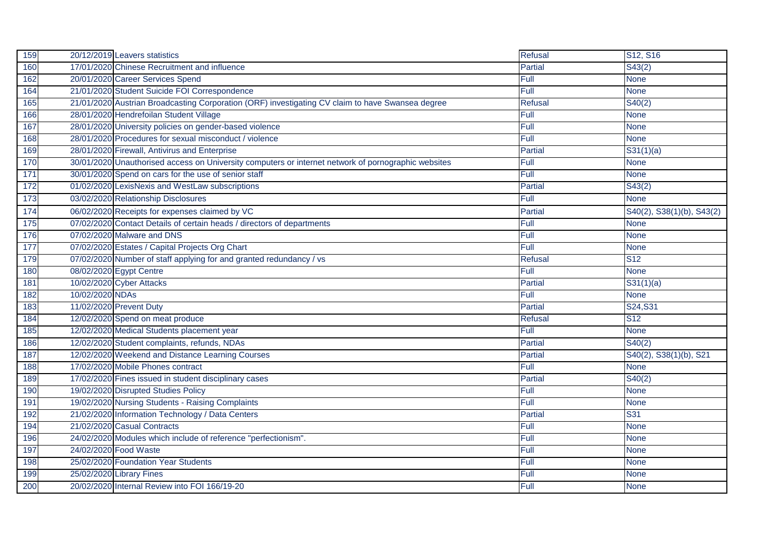| 159 |                 | 20/12/2019 Leavers statistics                                                                       | <b>Refusal</b> | S12, S16                  |
|-----|-----------------|-----------------------------------------------------------------------------------------------------|----------------|---------------------------|
| 160 |                 | 17/01/2020 Chinese Recruitment and influence                                                        | <b>Partial</b> | S43(2)                    |
| 162 |                 | 20/01/2020 Career Services Spend                                                                    | Full           | <b>None</b>               |
| 164 |                 | 21/01/2020 Student Suicide FOI Correspondence                                                       | Full           | <b>None</b>               |
| 165 |                 | 21/01/2020 Austrian Broadcasting Corporation (ORF) investigating CV claim to have Swansea degree    | <b>Refusal</b> | S40(2)                    |
| 166 |                 | 28/01/2020 Hendrefoilan Student Village                                                             | Full           | <b>None</b>               |
| 167 |                 | 28/01/2020 University policies on gender-based violence                                             | Full           | <b>None</b>               |
| 168 |                 | 28/01/2020 Procedures for sexual misconduct / violence                                              | Full           | <b>None</b>               |
| 169 |                 | 28/01/2020 Firewall, Antivirus and Enterprise                                                       | Partial        | S31(1)(a)                 |
| 170 |                 | 30/01/2020 Unauthorised access on University computers or internet network of pornographic websites | Full           | <b>None</b>               |
| 171 |                 | 30/01/2020 Spend on cars for the use of senior staff                                                | Full           | <b>None</b>               |
| 172 |                 | 01/02/2020 LexisNexis and WestLaw subscriptions                                                     | Partial        | S43(2)                    |
| 173 |                 | 03/02/2020 Relationship Disclosures                                                                 | Full           | <b>None</b>               |
| 174 |                 | 06/02/2020 Receipts for expenses claimed by VC                                                      | <b>Partial</b> | S40(2), S38(1)(b), S43(2) |
| 175 |                 | 07/02/2020 Contact Details of certain heads / directors of departments                              | Full           | <b>None</b>               |
| 176 |                 | 07/02/2020 Malware and DNS                                                                          | Full           | <b>None</b>               |
| 177 |                 | 07/02/2020 Estates / Capital Projects Org Chart                                                     | Full           | <b>None</b>               |
| 179 |                 | 07/02/2020 Number of staff applying for and granted redundancy / vs                                 | <b>Refusal</b> | <b>S12</b>                |
| 180 |                 | 08/02/2020 Egypt Centre                                                                             | Full           | <b>None</b>               |
| 181 |                 | 10/02/2020 Cyber Attacks                                                                            | Partial        | S31(1)(a)                 |
| 182 | 10/02/2020 NDAs |                                                                                                     | Full           | <b>None</b>               |
| 183 |                 | 11/02/2020 Prevent Duty                                                                             | Partial        | S24, S31                  |
| 184 |                 | 12/02/2020 Spend on meat produce                                                                    | <b>Refusal</b> | <b>S12</b>                |
| 185 |                 | 12/02/2020 Medical Students placement year                                                          | Full           | <b>None</b>               |
| 186 |                 | 12/02/2020 Student complaints, refunds, NDAs                                                        | Partial        | S40(2)                    |
| 187 |                 | 12/02/2020 Weekend and Distance Learning Courses                                                    | Partial        | S40(2), S38(1)(b), S21    |
| 188 |                 | 17/02/2020 Mobile Phones contract                                                                   | Full           | <b>None</b>               |
| 189 |                 | 17/02/2020 Fines issued in student disciplinary cases                                               | <b>Partial</b> | S40(2)                    |
| 190 |                 | 19/02/2020 Disrupted Studies Policy                                                                 | Full           | <b>None</b>               |
| 191 |                 | 19/02/2020 Nursing Students - Raising Complaints                                                    | Full           | <b>None</b>               |
| 192 |                 | 21/02/2020 Information Technology / Data Centers                                                    | Partial        | <b>S31</b>                |
| 194 |                 | 21/02/2020 Casual Contracts                                                                         | Full           | <b>None</b>               |
| 196 |                 | 24/02/2020 Modules which include of reference "perfectionism".                                      | Full           | <b>None</b>               |
| 197 |                 | 24/02/2020 Food Waste                                                                               | Full           | <b>None</b>               |
| 198 |                 | 25/02/2020 Foundation Year Students                                                                 | Full           | <b>None</b>               |
| 199 |                 | 25/02/2020 Library Fines                                                                            | Full           | <b>None</b>               |
| 200 |                 | 20/02/2020 Internal Review into FOI 166/19-20                                                       | Full           | <b>None</b>               |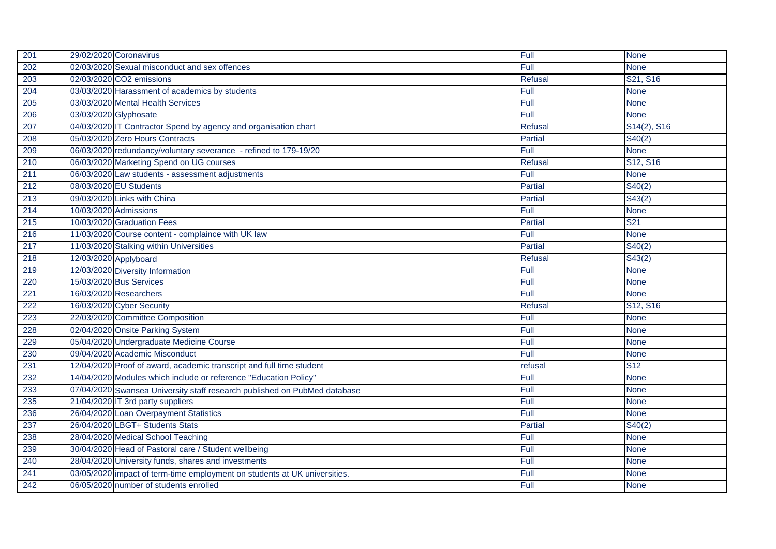| 201 | 29/02/2020 Coronavirus                                                    | Full           | <b>None</b>                       |
|-----|---------------------------------------------------------------------------|----------------|-----------------------------------|
| 202 | 02/03/2020 Sexual misconduct and sex offences                             | Full           | <b>None</b>                       |
| 203 | 02/03/2020 CO2 emissions                                                  | <b>Refusal</b> | S21, S16                          |
| 204 | 03/03/2020 Harassment of academics by students                            | Full           | <b>None</b>                       |
| 205 | 03/03/2020 Mental Health Services                                         | Full           | <b>None</b>                       |
| 206 | 03/03/2020 Glyphosate                                                     | Full           | <b>None</b>                       |
| 207 | 04/03/2020 IT Contractor Spend by agency and organisation chart           | <b>Refusal</b> | S14(2), S16                       |
| 208 | 05/03/2020 Zero Hours Contracts                                           | Partial        | S40(2)                            |
| 209 | 06/03/2020 redundancy/voluntary severance - refined to 179-19/20          | Full           | <b>None</b>                       |
| 210 | 06/03/2020 Marketing Spend on UG courses                                  | <b>Refusal</b> | S <sub>12</sub> , S <sub>16</sub> |
| 211 | 06/03/2020 Law students - assessment adjustments                          | Full           | <b>None</b>                       |
| 212 | 08/03/2020 EU Students                                                    | Partial        | S40(2)                            |
| 213 | 09/03/2020 Links with China                                               | Partial        | S43(2)                            |
| 214 | 10/03/2020 Admissions                                                     | Full           | <b>None</b>                       |
| 215 | 10/03/2020 Graduation Fees                                                | Partial        | S <sub>21</sub>                   |
| 216 | 11/03/2020 Course content - complaince with UK law                        | Full           | <b>None</b>                       |
| 217 | 11/03/2020 Stalking within Universities                                   | Partial        | S40(2)                            |
| 218 | 12/03/2020 Applyboard                                                     | <b>Refusal</b> | S43(2)                            |
| 219 | 12/03/2020 Diversity Information                                          | Full           | <b>None</b>                       |
| 220 | 15/03/2020 Bus Services                                                   | Full           | <b>None</b>                       |
| 221 | 16/03/2020 Researchers                                                    | Full           | <b>None</b>                       |
| 222 | 16/03/2020 Cyber Security                                                 | <b>Refusal</b> | S <sub>12</sub> , S <sub>16</sub> |
| 223 | 22/03/2020 Committee Composition                                          | Full           | <b>None</b>                       |
| 228 | 02/04/2020 Onsite Parking System                                          | Full           | <b>None</b>                       |
| 229 | 05/04/2020 Undergraduate Medicine Course                                  | Full           | <b>None</b>                       |
| 230 | 09/04/2020 Academic Misconduct                                            | Full           | <b>None</b>                       |
| 231 | 12/04/2020 Proof of award, academic transcript and full time student      | refusal        | $\overline{\text{S}12}$           |
| 232 | 14/04/2020 Modules which include or reference "Education Policy"          | Full           | <b>None</b>                       |
| 233 | 07/04/2020 Swansea University staff research published on PubMed database | Full           | <b>None</b>                       |
| 235 | 21/04/2020 IT 3rd party suppliers                                         | Full           | <b>None</b>                       |
| 236 | 26/04/2020 Loan Overpayment Statistics                                    | Full           | <b>None</b>                       |
| 237 | 26/04/2020 LBGT+ Students Stats                                           | Partial        | S40(2)                            |
| 238 | 28/04/2020 Medical School Teaching                                        | Full           | <b>None</b>                       |
| 239 | 30/04/2020 Head of Pastoral care / Student wellbeing                      | Full           | <b>None</b>                       |
| 240 | 28/04/2020 University funds, shares and investments                       | Full           | <b>None</b>                       |
| 241 | 03/05/2020 impact of term-time employment on students at UK universities. | Full           | <b>None</b>                       |
| 242 | 06/05/2020 number of students enrolled                                    | <b>Full</b>    | None                              |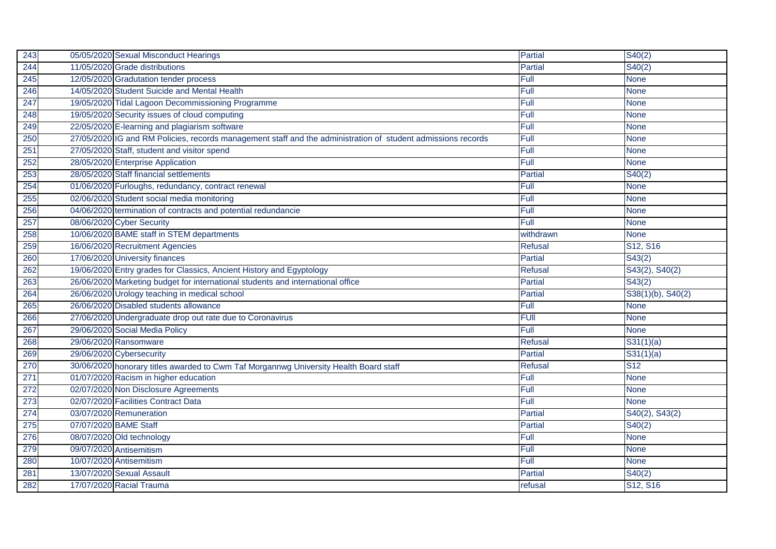| 243 | 05/05/2020 Sexual Misconduct Hearings                                                                        | Partial        | S40(2)                            |
|-----|--------------------------------------------------------------------------------------------------------------|----------------|-----------------------------------|
| 244 | 11/05/2020 Grade distributions                                                                               | <b>Partial</b> | S40(2)                            |
| 245 | 12/05/2020 Gradutation tender process                                                                        | Full           | <b>None</b>                       |
| 246 | 14/05/2020 Student Suicide and Mental Health                                                                 | Full           | <b>None</b>                       |
| 247 | 19/05/2020 Tidal Lagoon Decommissioning Programme                                                            | Full           | <b>None</b>                       |
| 248 | 19/05/2020 Security issues of cloud computing                                                                | Full           | <b>None</b>                       |
| 249 | 22/05/2020 E-learning and plagiarism software                                                                | Full           | <b>None</b>                       |
| 250 | 27/05/2020 IG and RM Policies, records management staff and the administration of student admissions records | Full           | <b>None</b>                       |
| 251 | 27/05/2020 Staff, student and visitor spend                                                                  | Full           | <b>None</b>                       |
| 252 | 28/05/2020 Enterprise Application                                                                            | Full           | <b>None</b>                       |
| 253 | 28/05/2020 Staff financial settlements                                                                       | Partial        | S40(2)                            |
| 254 | 01/06/2020 Furloughs, redundancy, contract renewal                                                           | Full           | <b>None</b>                       |
| 255 | 02/06/2020 Student social media monitoring                                                                   | Full           | <b>None</b>                       |
| 256 | 04/06/2020 termination of contracts and potential redundancie                                                | Full           | <b>None</b>                       |
| 257 | 08/06/2020 Cyber Security                                                                                    | Full           | <b>None</b>                       |
| 258 | 10/06/2020 BAME staff in STEM departments                                                                    | withdrawn      | <b>None</b>                       |
| 259 | 16/06/2020 Recruitment Agencies                                                                              | <b>Refusal</b> | S12, S16                          |
| 260 | 17/06/2020 University finances                                                                               | <b>Partial</b> | S43(2)                            |
| 262 | 19/06/2020 Entry grades for Classics, Ancient History and Egyptology                                         | Refusal        | S43(2), S40(2)                    |
| 263 | 26/06/2020 Marketing budget for international students and international office                              | Partial        | S43(2)                            |
| 264 | 26/06/2020 Urology teaching in medical school                                                                | Partial        | S38(1)(b), S40(2)                 |
| 265 | 26/06/2020 Disabled students allowance                                                                       | Full           | <b>None</b>                       |
| 266 | 27/06/2020 Undergraduate drop out rate due to Coronavirus                                                    | <b>FUII</b>    | <b>None</b>                       |
| 267 | 29/06/2020 Social Media Policy                                                                               | Full           | <b>None</b>                       |
| 268 | 29/06/2020 Ransomware                                                                                        | <b>Refusal</b> | S31(1)(a)                         |
| 269 | 29/06/2020 Cybersecurity                                                                                     | Partial        | S31(1)(a)                         |
| 270 | 30/06/2020 honorary titles awarded to Cwm Taf Morgannwg University Health Board staff                        | <b>Refusal</b> | <b>S12</b>                        |
| 271 | 01/07/2020 Racism in higher education                                                                        | Full           | <b>None</b>                       |
| 272 | 02/07/2020 Non Disclosure Agreements                                                                         | Full           | <b>None</b>                       |
| 273 | 02/07/2020 Facilities Contract Data                                                                          | Full           | <b>None</b>                       |
| 274 | 03/07/2020 Remuneration                                                                                      | Partial        | S40(2), S43(2)                    |
| 275 | 07/07/2020 BAME Staff                                                                                        | Partial        | S40(2)                            |
| 276 | 08/07/2020 Old technology                                                                                    | Full           | <b>None</b>                       |
| 279 | 09/07/2020 Antisemitism                                                                                      | Full           | <b>None</b>                       |
| 280 | 10/07/2020 Antisemitism                                                                                      | Full           | <b>None</b>                       |
| 281 | 13/07/2020 Sexual Assault                                                                                    | <b>Partial</b> | S40(2)                            |
| 282 | 17/07/2020 Racial Trauma                                                                                     | refusal        | S <sub>12</sub> , S <sub>16</sub> |